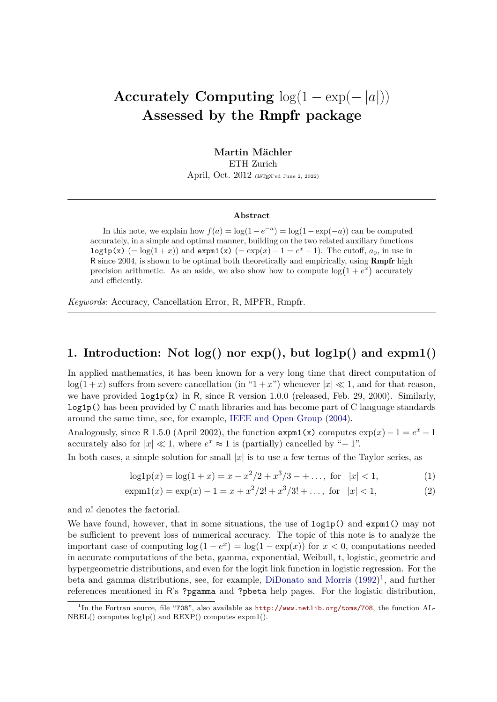# **Accurately Computing**  $log(1 - exp(-|a|))$ **Assessed by the** Rmpfr **package**

**Martin Mächler** ETH Zurich April, Oct. 2012 (LAT<sub>E</sub>X'ed June 2, 2022)

#### **Abstract**

In this note, we explain how  $f(a) = \log(1 - e^{-a}) = \log(1 - \exp(-a))$  can be computed accurately, in a simple and optimal manner, building on the two related auxiliary functions log1p(x) (= log(1+x)) and expm1(x) (= exp(x) - 1 =  $e^x$  - 1). The cutoff,  $a_0$ , in use in R since 2004, is shown to be optimal both theoretically and empirically, using Rmpfr high precision arithmetic. As an aside, we also show how to compute  $\log(1 + e^x)$  accurately and efficiently.

*Keywords*: Accuracy, Cancellation Error, R, MPFR, Rmpfr.

# **1. Introduction: Not log() nor exp(), but log1p() and expm1()**

In applied mathematics, it has been known for a very long time that direct computation of  $log(1+x)$  suffers from severe cancellation (in "1+x") whenever  $|x| \ll 1$ , and for that reason, we have provided log1p(x) in R, since R version 1.0.0 (released, Feb. 29, 2000). Similarly, log1p() has been provided by C math libraries and has become part of C language standards around the same time, see, for example, [IEEE and Open Group](#page-8-0) [\(2004\)](#page-8-0).

Analogously, since R 1.5.0 (April 2002), the function  $\exp(1(x)$  computes  $\exp(x) - 1 = e^x - 1$ accurately also for  $|x| \ll 1$ , where  $e^x \approx 1$  is (partially) cancelled by "-1".

In both cases, a simple solution for small  $|x|$  is to use a few terms of the Taylor series, as

<span id="page-0-1"></span>
$$
log1p(x) = log(1+x) = x - x^2/2 + x^3/3 - + \dots, for |x| < 1,
$$
 (1)

$$
\exp(1(x)) = \exp(x) - 1 = x + x^2/2! + x^3/3! + \dots, \text{ for } |x| < 1,\tag{2}
$$

and *n*! denotes the factorial.

We have found, however, that in some situations, the use of  $\text{log1p}()$  and  $\text{expm1}(()$  may not be sufficient to prevent loss of numerical accuracy. The topic of this note is to analyze the important case of computing  $\log(1-e^x) = \log(1-\exp(x))$  for  $x < 0$ , computations needed in accurate computations of the beta, gamma, exponential, Weibull, t, logistic, geometric and hypergeometric distributions, and even for the logit link function in logistic regression. For the beta and gamma distributions, see, for example, [DiDonato and Morris](#page-7-0) [\(1992\)](#page-7-0) [1](#page-0-0) , and further references mentioned in R's ?pgamma and ?pbeta help pages. For the logistic distribution,

<span id="page-0-0"></span><sup>1</sup> In the Fortran source, file "708", also available as <http://www.netlib.org/toms/708>, the function AL-NREL() computes log1p() and REXP() computes expm1().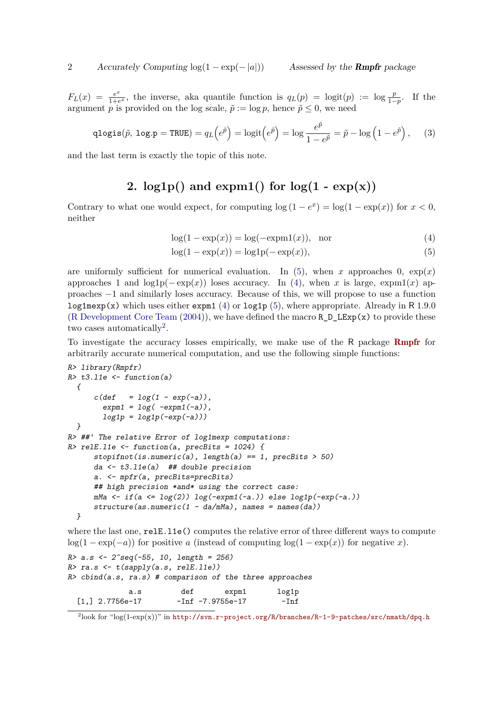$F_L(x) = \frac{e^x}{1+e^x}$  $\frac{e^x}{1+e^x}$ , the inverse, aka quantile function is  $q_L(p) = \logit(p) := \log \frac{p}{1-p}$ . If the argument *p* is provided on the log scale,  $\tilde{p} := \log p$ , hence  $\tilde{p} \leq 0$ , we need

$$
\text{qlogis}(\tilde{p}, \text{log.p} = \text{TRUE}) = q_L \left( e^{\tilde{p}} \right) = \text{logit} \left( e^{\tilde{p}} \right) = \text{log} \frac{e^{\tilde{p}}}{1 - e^{\tilde{p}}} = \tilde{p} - \text{log} \left( 1 - e^{\tilde{p}} \right), \quad (3)
$$

and the last term is exactly the topic of this note.

# 2.  $log1p()$  and  $expm1()$  for  $log(1 - exp(x))$

Contrary to what one would expect, for computing  $\log(1-e^x) = \log(1-\exp(x))$  for  $x < 0$ , neither

<span id="page-1-1"></span><span id="page-1-0"></span>
$$
log(1 - exp(x)) = log(-expm1(x)), \text{ nor}
$$
\n(4)

$$
log(1 - exp(x)) = log1p(-exp(x)),
$$
\n(5)

are uniformly sufficient for numerical evaluation. In [\(5\)](#page-1-0), when *x* approaches 0,  $\exp(x)$ approaches 1 and  $log1p(-exp(x))$  loses accuracy. In [\(4\)](#page-1-1), when *x* is large, expm1(*x*) approaches −1 and similarly loses accuracy. Because of this, we will propose to use a function log1mexp(x) which uses either expm1 [\(4\)](#page-1-1) or log1p [\(5\)](#page-1-0), where appropriate. Already in R 1.9.0 [\(R Development Core Team](#page-8-1)  $(2004)$ ), we have defined the macro R D LExp(x) to provide these two cases automatically<sup>[2](#page-1-2)</sup>.

To investigate the accuracy losses empirically, we make use of the R package [Rmpfr](http://CRAN.R-project.org/package=Rmpfr) for arbitrarily accurate numerical computation, and use the following simple functions:

```
R> library(Rmpfr)
R> t3.l1e <- function(a)
  {
      c(\text{def} = \log(1 - \exp(-a)),expm1 = log( -expm1(-a)),
        log1p = log1p(-exp(-a)))
  }
R> ##' The relative Error of log1mexp computations:
R> relE.l1e <- function(a, precBits = 1024) {
      stopifnot(is.numeric(a), length(a) == 1, precBits > 50)
      da <- t3.l1e(a) ## double precision
      a. <- mpfr(a, precBits=precBits)
      ## high precision *and* using the correct case:
     mMa <- if(a <= log(2)) log(-expm1(-a.)) else log1p(-exp(-a.))
      structure(as.numeric(1 - da/mMa), names = names(da))
  }
```
where the last one,  $relEu11e()$  computes the relative error of three different ways to compute log(1 – exp(-*a*)) for positive *a* (instead of computing log(1 – exp(*x*)) for negative *x*).

```
R> a.s <- 2^seq(-55, 10, length = 256)
R> ra.s <- t(sapply(a.s, relE.l1e))
R> cbind(a.s, ra.s) # comparison of the three approaches
            a.s def expm1 log1p
 [1,] 2.7756e-17 -Inf -7.9755e-17 -Inf
```
<span id="page-1-2"></span> $^{2}$ look for "log $(1-\exp(x))^n$  in <http://svn.r-project.org/R/branches/R-1-9-patches/src/nmath/dpq.h>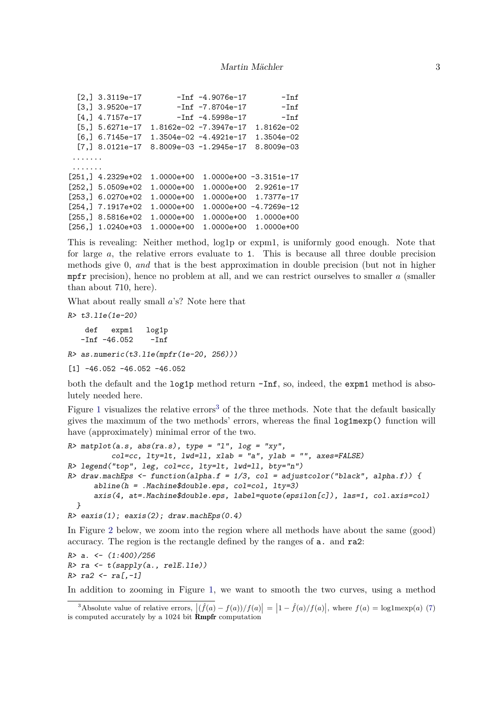```
[2,] 3.3119e-17 -Inf -4.9076e-17 -Inf[3,] 3.9520e-17 -Inf -7.8704e-17 -Inf
 [4,] 4.7157e-17 -Inf -4.5998e-17 -Inf
 [5,] 5.6271e-17 1.8162e-02 -7.3947e-17 1.8162e-02
 [6,] 6.7145e-17 1.3504e-02 -4.4921e-17 1.3504e-02
 [7,] 8.0121e-17 8.8009e-03 -1.2945e-17 8.8009e-03
 .......
 .......
[251,] 4.2329e+02 1.0000e+00 1.0000e+00 -3.3151e-17
[252,] 5.0509e+02 1.0000e+00 1.0000e+00 2.9261e-17
[253,] 6.0270e+02 1.0000e+00 1.0000e+00 1.7377e-17
[254,] 7.1917e+02 1.0000e+00 1.0000e+00 -4.7269e-12
[255,] 8.5816e+02 1.0000e+00 1.0000e+00 1.0000e+00
[256,] 1.0240e+03 1.0000e+00 1.0000e+00 1.0000e+00
```
This is revealing: Neither method, log1p or expm1, is uniformly good enough. Note that for large *a*, the relative errors evaluate to 1. This is because all three double precision methods give 0, *and* that is the best approximation in double precision (but not in higher mpfr precision), hence no problem at all, and we can restrict ourselves to smaller *a* (smaller than about 710, here).

What about really small *a*'s? Note here that

*R> t3.l1e(1e-20)* def expm1 log1p  $-Inf$   $-46.052$   $-Inf$ 

*R> as.numeric(t3.l1e(mpfr(1e-20, 256)))*

 $[1]$  -46.052 -46.052 -46.052

both the default and the log1p method return -Inf, so, indeed, the expm1 method is absolutely needed here.

Figure [1](#page-3-0) visualizes the relative errors<sup>[3](#page-2-0)</sup> of the three methods. Note that the default basically gives the maximum of the two methods' errors, whereas the final log1mexp() function will have (approximately) minimal error of the two.

```
R> matplot(a.s, abs(ra.s), type = "l", log = "xy",
          col=cc, lty=lt, lwd=ll, xlab = "a", ylab = "", axes=FALSE)
R> legend("top", leg, col=cc, lty=lt, lwd=ll, bty="n")
R> draw.machEps <- function(alpha.f = 1/3, col = adjustcolor("black", alpha.f)) {
      abline(h = .Machine$double.eps, col=col, lty=3)
      axis(4, at=.Machine$double.eps, label=quote(epsilon[c]), las=1, col.axis=col)
  }
R> eaxis(1); eaxis(2); draw.machEps(0.4)
```
In Figure [2](#page-4-0) below, we zoom into the region where all methods have about the same (good) accuracy. The region is the rectangle defined by the ranges of a. and ra2:

```
R> a. <- (1:400)/256
R> ra <- t(sapply(a., relE.l1e))
R> ra2 <- ra[,-1]
```
In addition to zooming in Figure [1,](#page-3-0) we want to smooth the two curves, using a method

<span id="page-2-0"></span><sup>&</sup>lt;sup>3</sup>Absolute value of relative errors,  $|(\hat{f}(a) - f(a))/f(a)| = |1 - \hat{f}(a)/f(a)|$ , where  $f(a) = \log \text{Imexp}(a)$  [\(7\)](#page-4-1) is computed accurately by a 1024 bit Rmpfr computation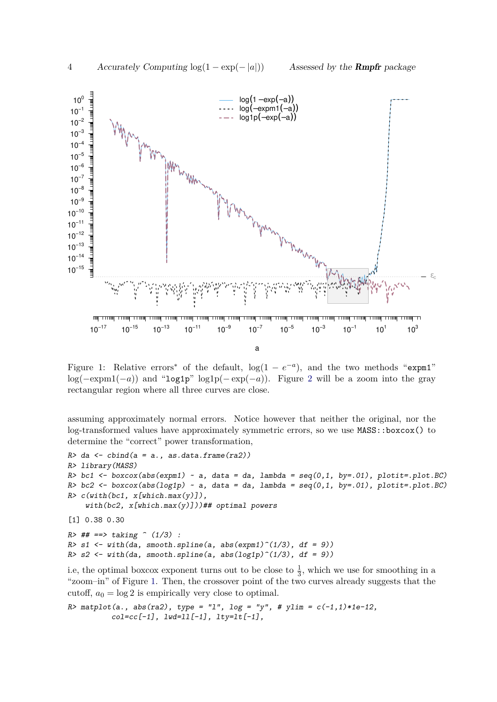

<span id="page-3-0"></span>Figure 1: Relative errors<sup>\*</sup> of the default,  $log(1 - e^{-a})$ , and the two methods "expm1" log(−expm1(−*a*)) and "log1p" log1p(− exp(−*a*)). Figure [2](#page-4-0) will be a zoom into the gray rectangular region where all three curves are close.

assuming approximately normal errors. Notice however that neither the original, nor the log-transformed values have approximately symmetric errors, so we use  $MASS: : boxcox()$  to determine the "correct" power transformation,

```
R> da <- cbind(a = a., as.data.frame(ra2))
R> library(MASS)
R> bc1 <- boxcox(abs(expm1) ~ a, data = da, lambda = seq(0,1, by=.01), plotit=.plot.BC)
R> bc2 <- boxcox(abs(log1p) ~ a, data = da, lambda = seq(0,1, by=.01), plotit=.plot.BC)
R> c(with(bc1, x[which.max(y)]),
    with(bc2, x[which.max(y)]))## optimal powers
[1] 0.38 0.30
R> ## ==> taking ^ (1/3) :
R > s1 <- with(da, smooth.spline(a, abs(expm1)^(1/3), df = 9))
R> s2 <- with(da, smooth.spline(a, abs(log1p)^(1/3), df = 9))
```
i.e, the optimal boxcox exponent turns out to be close to  $\frac{1}{3}$ , which we use for smoothing in a "zoom–in" of Figure [1.](#page-3-0) Then, the crossover point of the two curves already suggests that the cutoff,  $a_0 = \log 2$  is empirically very close to optimal.

*R> matplot(a., abs(ra2), type = "l", log = "y", # ylim = c(-1,1)\*1e-12, col=cc[-1], lwd=ll[-1], lty=lt[-1],*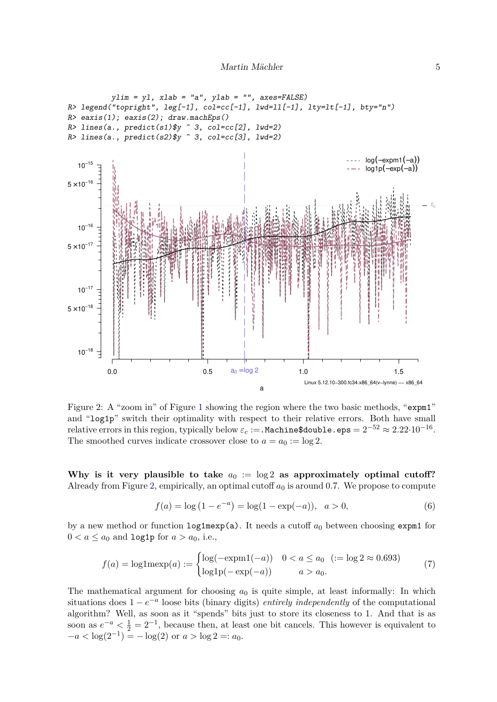

<span id="page-4-0"></span>Figure 2: A "zoom in" of Figure [1](#page-3-0) showing the region where the two basic methods, "expm1" and "log1p" switch their optimality with respect to their relative errors. Both have small relative errors in this region, typically below  $\varepsilon_c$  := . Machine\$double.eps =  $2^{-52} \approx 2.22 \cdot 10^{-16}$ . The smoothed curves indicate crossover close to  $a = a_0 := \log 2$ .

Why is it very plausible to take  $a_0 := \log 2$  as approximately optimal cutoff? Already from Figure [2,](#page-4-0) empirically, an optimal cutoff  $a_0$  is around 0.7. We propose to compute

<span id="page-4-1"></span>
$$
f(a) = \log(1 - e^{-a}) = \log(1 - \exp(-a)), \quad a > 0,
$$
\n(6)

by a new method or function  $\log 1 \text{mexp(a)}$ . It needs a cutoff  $a_0$  between choosing expm1 for  $0 < a \leq a_0$  and log1p for  $a > a_0$ , i.e.,

$$
f(a) = \log 1 \text{mexp}(a) := \begin{cases} \log(-\text{expm1}(-a)) & 0 < a \le a_0 \ \ (:= \log 2 \approx 0.693) \\ \log 1 \text{p}(-\text{exp}(-a)) & a > a_0. \end{cases} \tag{7}
$$

The mathematical argument for choosing  $a_0$  is quite simple, at least informally: In which situations does  $1 - e^{-a}$  loose bits (binary digits) *entirely independently* of the computational algorithm? Well, as soon as it "spends" bits just to store its closeness to 1. And that is as soon as  $e^{-a} < \frac{1}{2} = 2^{-1}$ , because then, at least one bit cancels. This however is equivalent to  $-a < log(2^{-1}) = -log(2)$  or  $a > log 2 =: a_0$ .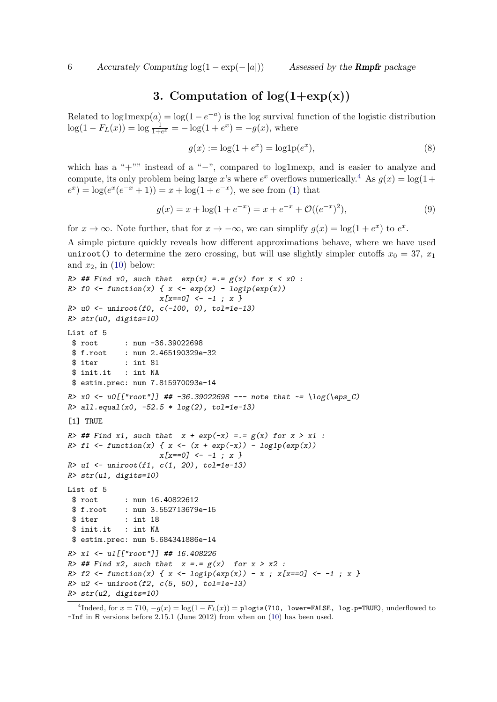## **3. Computation of**  $log(1+exp(x))$

Related to  $log1 \text{mexp}(a) = log(1 - e^{-a})$  is the log survival function of the logistic distribution  $log(1 - F_L(x)) = log \frac{1}{1+e^x} = -log(1+e^x) = -g(x)$ , where

$$
g(x) := \log(1 + e^x) = \log 1 p(e^x),
$$
\n(8)

which has a "+"" instead of a "−", compared to log1mexp, and is easier to analyze and compute, its only problem being large *x*'s where  $e^x$  overflows numerically.<sup>[4](#page-5-0)</sup> As  $g(x) = \log(1 +$  $e^x$ ) = log( $e^x(e^{-x}+1)$ ) = *x* + log(1 +  $e^{-x}$ ), we see from [\(1\)](#page-0-1) that

$$
g(x) = x + \log(1 + e^{-x}) = x + e^{-x} + \mathcal{O}((e^{-x})^2),\tag{9}
$$

for  $x \to \infty$ . Note further, that for  $x \to -\infty$ , we can simplify  $g(x) = \log(1 + e^x)$  to  $e^x$ .

A simple picture quickly reveals how different approximations behave, where we have used uniroot() to determine the zero crossing, but will use slightly simpler cutoffs  $x_0 = 37, x_1$ and  $x_2$ , in  $(10)$  below:

```
R> ## Find x0, such that exp(x) =.= g(x) for x < x0 :
R> f0 <- function(x) { x <- exp(x) - log1p(exp(x))x[x==0] <- -1 ; x }
R> u0 <- uniroot(f0, c(-100, 0), tol=1e-13)
R> str(u0, digits=10)
List of 5
 $ root : num -36.39022698
 $ f.root : num 2.465190329e-32
 $ iter : int 81
 $ init.it : int NA
 $ estim.prec: num 7.815970093e-14
R> x0 <- u0[["root"]] ## -36.39022698 --- note that ~= \log(\eps_C)
R> all.equal(x0, -52.5 * log(2), tol=1e-13)
[1] TRUE
R> ## Find x1, such that x + exp(-x) =.= g(x) for x > x1 :
R> f1 <- function(x) { x <- (x + exp(-x)) - log1p(exp(x))
                    x[x==0] <- -1 ; x }
R> u1 <- uniroot(f1, c(1, 20), tol=1e-13)
R> str(u1, digits=10)
List of 5
 $ root : num 16.40822612
 $ f.root : num 3.552713679e-15
 $ iter : int 18
 $ init.it : int NA
$ estim.prec: num 5.684341886e-14
R> x1 <- u1[["root"]] ## 16.408226
R> ## Find x2, such that x =.= g(x) for x > x2 :
R> f2 <- function(x) { x <- log1p(exp(x)) - x ; x[x==0] <- -1 ; x }
R> u2 <- uniroot(f2, c(5, 50), tol=1e-13)
R> str(u2, digits=10)
```
<span id="page-5-0"></span><sup>4</sup>Indeed, for  $x = 710$ ,  $-g(x) = \log(1 - F_L(x)) =$  plogis(710, lower=FALSE, log.p=TRUE), underflowed to -Inf in R versions before 2.15.1 (June 2012) from when on [\(10\)](#page-6-0) has been used.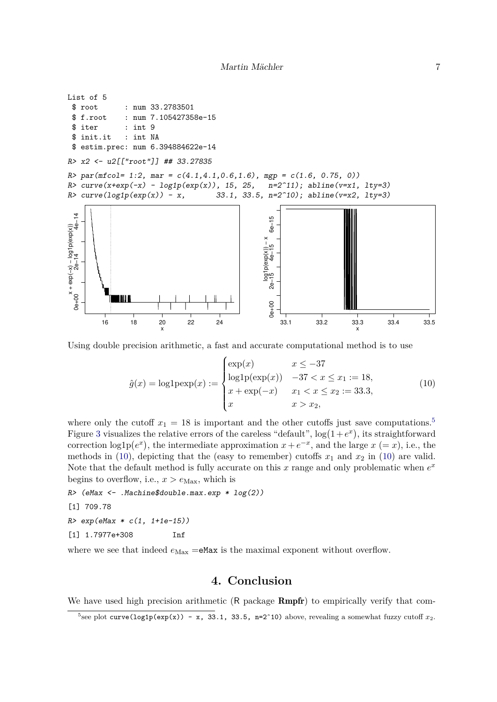```
List of 5
 $ root : num 33.2783501
 $ f.root : num 7.105427358e-15
 $ iter : int 9
 $ init.it : int NA
 $ estim.prec: num 6.394884622e-14
R> x2 <- u2[["root"]] ## 33.27835
R> par(mfcol= 1:2, mar = c(4.1,4.1,0.6,1.6), mgp = c(1.6, 0.75, 0))
R> curve(x+exp(-x) - log1p(exp(x)), 15, 25, n=2^11); abline(v=x1, lty=3)
R> curve(log1p(exp(x)) - x, 33.1, 33.5, n=2^10); abline(v=x2, lty=3)
x + exp(-x) - log1p(exp(x))<br>
2e-14<br>
4e-140e+00 2e−14 4e−14
                                                           \overline{6}0e+00 2e−15 4e−15 6e−15
                                                           6e-1x + exp(= log1 p(x)dx0 + x
                                                         log1p(exp(x)) − x
                                                          ູທ
                                                         log 1p(exp(x))<br>-15 4e-152e-0e+0016 18 20 22 24
                                                              33.1 33.2 33.3 33.4 33.5
                           x
                                                                                    x
```
Using double precision arithmetic, a fast and accurate computational method is to use

<span id="page-6-0"></span>
$$
\hat{g}(x) = \log \log (x) := \begin{cases} \exp(x) & x \le -37 \\ \log \log \exp(x) & -37 < x \le x_1 := 18, \\ x + \exp(-x) & x_1 < x \le x_2 := 33.3, \\ x & x > x_2, \end{cases} \tag{10}
$$

where only the cutoff  $x_1 = 18$  is important and the other cutoffs just save computations.<sup>[5](#page-6-1)</sup> Figure [3](#page-7-1) visualizes the relative errors of the careless "default",  $log(1+e^x)$ , its straightforward correction  $log 1p(e^x)$ , the intermediate approximation  $x + e^{-x}$ , and the large  $x (= x)$ , i.e., the methods in [\(10\)](#page-6-0), depicting that the (easy to remember) cutoffs  $x_1$  and  $x_2$  in [\(10\)](#page-6-0) are valid. Note that the default method is fully accurate on this  $x$  range and only problematic when  $e^x$ begins to overflow, i.e.,  $x > e_{\text{Max}}$ , which is

*R> (eMax <- .Machine\$double.max.exp \* log(2))*

```
[1] 709.78
```

```
R> exp(eMax * c(1, 1+1e-15))
```

```
[1] 1.7977e+308 Inf
```
where we see that indeed  $e_{\text{Max}} = e$ Max is the maximal exponent without overflow.

#### **4. Conclusion**

We have used high precision arithmetic  $(R$  package  $Rmpfr$ ) to empirically verify that com-

<span id="page-6-1"></span><sup>&</sup>lt;sup>5</sup> see plot curve(log1p(exp(x)) - x, 33.1, 33.5, n=2^10) above, revealing a somewhat fuzzy cutoff  $x_2$ .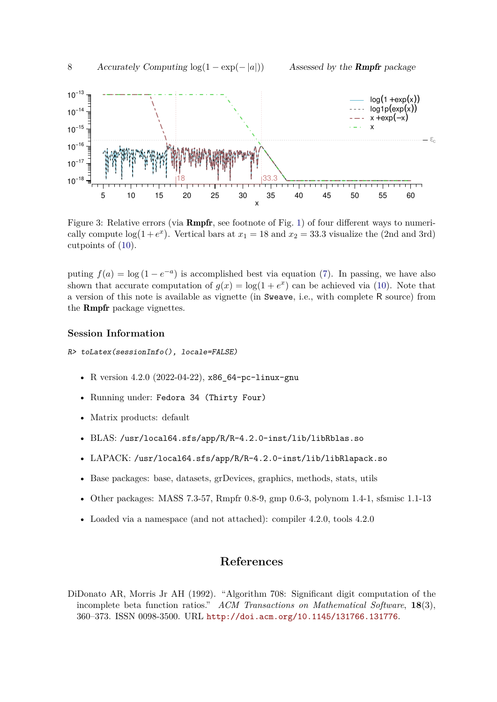

<span id="page-7-1"></span>Figure 3: Relative errors (via **Rmpfr**, see footnote of Fig. [1\)](#page-3-0) of four different ways to numerically compute  $log(1+e^x)$ . Vertical bars at  $x_1 = 18$  and  $x_2 = 33.3$  visualize the (2nd and 3rd) cutpoints of [\(10\)](#page-6-0).

puting  $f(a) = \log (1 - e^{-a})$  is accomplished best via equation [\(7\)](#page-4-1). In passing, we have also shown that accurate computation of  $g(x) = \log(1 + e^x)$  can be achieved via [\(10\)](#page-6-0). Note that a version of this note is available as vignette (in Sweave, i.e., with complete R source) from the Rmpfr package vignettes.

#### **Session Information**

*R> toLatex(sessionInfo(), locale=FALSE)*

- R version 4.2.0 (2022-04-22), x86\_64-pc-linux-gnu
- Running under: Fedora 34 (Thirty Four)
- Matrix products: default
- BLAS: /usr/local64.sfs/app/R/R-4.2.0-inst/lib/libRblas.so
- LAPACK: /usr/local64.sfs/app/R/R-4.2.0-inst/lib/libRlapack.so
- Base packages: base, datasets, grDevices, graphics, methods, stats, utils
- Other packages: MASS 7.3-57, Rmpfr 0.8-9, gmp 0.6-3, polynom 1.4-1, sfsmisc 1.1-13
- Loaded via a namespace (and not attached): compiler 4.2.0, tools 4.2.0

### **References**

<span id="page-7-0"></span>DiDonato AR, Morris Jr AH (1992). "Algorithm 708: Significant digit computation of the incomplete beta function ratios." *ACM Transactions on Mathematical Software*, **18**(3), 360–373. ISSN 0098-3500. URL <http://doi.acm.org/10.1145/131766.131776>.